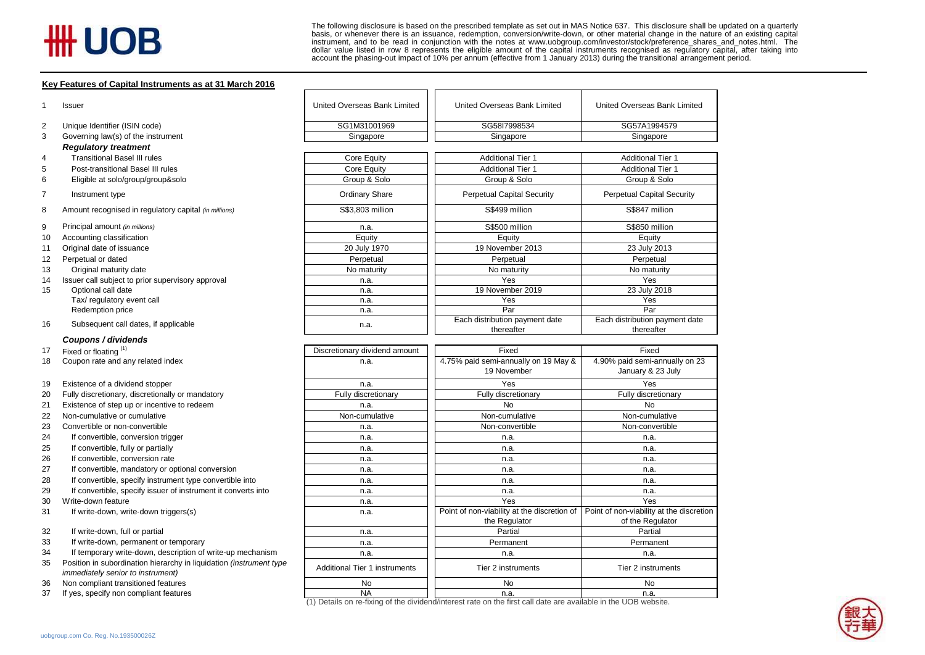# **HH UOB**

The following disclosure is based on the prescribed template as set out in MAS Notice 637. This disclosure shall be updated on a quarterly<br>basis, or whenever there is an issuance, redemption, conversion/write-down, or othe

#### **Key Features of Capital Instruments as at 31 March 2016**

| 1  | <b>Issuer</b>                                                                                            | United Overseas Bank Limited         | United Overseas Bank Limited                                                                                            | United Overseas Bank Limited                        |  |
|----|----------------------------------------------------------------------------------------------------------|--------------------------------------|-------------------------------------------------------------------------------------------------------------------------|-----------------------------------------------------|--|
| 2  | Unique Identifier (ISIN code)                                                                            | SG1M31001969                         | SG58I7998534<br>SG57A1994579                                                                                            |                                                     |  |
| 3  | Governing law(s) of the instrument                                                                       | Singapore                            | Singapore                                                                                                               | Singapore                                           |  |
|    | <b>Regulatory treatment</b>                                                                              |                                      |                                                                                                                         |                                                     |  |
| 4  | <b>Transitional Basel III rules</b>                                                                      | Core Equity                          | <b>Additional Tier 1</b>                                                                                                | <b>Additional Tier 1</b>                            |  |
| 5  | Post-transitional Basel III rules                                                                        | Core Equity                          | <b>Additional Tier 1</b>                                                                                                | <b>Additional Tier 1</b>                            |  |
| 6  | Eligible at solo/group/group&solo                                                                        | Group & Solo                         | Group & Solo                                                                                                            | Group & Solo                                        |  |
|    |                                                                                                          |                                      |                                                                                                                         |                                                     |  |
| 7  | Instrument type                                                                                          | <b>Ordinary Share</b>                | <b>Perpetual Capital Security</b>                                                                                       | <b>Perpetual Capital Security</b>                   |  |
| 8  | Amount recognised in regulatory capital (in millions)                                                    | S\$3,803 million                     | S\$499 million                                                                                                          | S\$847 million                                      |  |
| 9  | Principal amount (in millions)                                                                           | n.a.                                 | S\$500 million                                                                                                          | S\$850 million                                      |  |
| 10 | Accounting classification                                                                                | Equity                               | Equity                                                                                                                  | Equity                                              |  |
| 11 | Original date of issuance                                                                                | 20 July 1970                         | 19 November 2013                                                                                                        | 23 July 2013                                        |  |
| 12 | Perpetual or dated                                                                                       | Perpetual                            | Perpetual                                                                                                               | Perpetual                                           |  |
| 13 | Original maturity date                                                                                   | No maturity                          | No maturity                                                                                                             | No maturity                                         |  |
| 14 | Issuer call subject to prior supervisory approval                                                        | n.a.                                 | Yes                                                                                                                     | Yes                                                 |  |
| 15 | Optional call date                                                                                       | n.a.                                 | 19 November 2019                                                                                                        | 23 July 2018                                        |  |
|    | Tax/ regulatory event call                                                                               | n.a.                                 | Yes                                                                                                                     | Yes                                                 |  |
|    | Redemption price                                                                                         | n.a.                                 | Par                                                                                                                     | Par                                                 |  |
| 16 | Subsequent call dates, if applicable                                                                     | n.a.                                 | Each distribution payment date<br>thereafter                                                                            | Each distribution payment date<br>thereafter        |  |
|    | Coupons / dividends                                                                                      |                                      |                                                                                                                         |                                                     |  |
| 17 | Fixed or floating (1)                                                                                    | Discretionary dividend amount        | Fixed                                                                                                                   | Fixed                                               |  |
| 18 | Coupon rate and any related index                                                                        | n.a.                                 | 4.75% paid semi-annually on 19 May &<br>19 November                                                                     | 4.90% paid semi-annually on 23<br>January & 23 July |  |
| 19 | Existence of a dividend stopper                                                                          | n.a.                                 | Yes                                                                                                                     | Yes                                                 |  |
| 20 | Fully discretionary, discretionally or mandatory                                                         | Fully discretionary                  | Fully discretionary                                                                                                     | Fully discretionary                                 |  |
| 21 | Existence of step up or incentive to redeem                                                              | n.a.                                 | No                                                                                                                      | <b>No</b>                                           |  |
| 22 | Non-cumulative or cumulative                                                                             | Non-cumulative                       | Non-cumulative                                                                                                          | Non-cumulative                                      |  |
| 23 | Convertible or non-convertible                                                                           | n.a.                                 | Non-convertible                                                                                                         | Non-convertible                                     |  |
| 24 | If convertible, conversion trigger                                                                       | n.a.                                 | n.a.                                                                                                                    | n.a.                                                |  |
| 25 | If convertible, fully or partially                                                                       | n.a.                                 | n.a.                                                                                                                    | n.a.                                                |  |
| 26 | If convertible, conversion rate                                                                          | n.a.                                 | n.a.                                                                                                                    | n.a.                                                |  |
| 27 | If convertible, mandatory or optional conversion                                                         | n.a.                                 | n.a.                                                                                                                    | n.a.                                                |  |
| 28 | If convertible, specify instrument type convertible into                                                 | n.a.                                 | n.a.                                                                                                                    | n.a.                                                |  |
| 29 | If convertible, specify issuer of instrument it converts into                                            | n.a.                                 | n.a.                                                                                                                    | n.a.                                                |  |
| 30 | Write-down feature                                                                                       | n.a.                                 | Yes                                                                                                                     | Yes                                                 |  |
| 31 | If write-down, write-down triggers(s)                                                                    | n.a.                                 | Point of non-viability at the discretion of $\vert$ Point of non-viability at the discretion                            |                                                     |  |
| 32 | If write-down, full or partial                                                                           |                                      | the Regulator<br>Partial                                                                                                | of the Regulator<br>Partial                         |  |
| 33 | If write-down, permanent or temporary                                                                    | n.a.                                 | Permanent                                                                                                               | Permanent                                           |  |
|    |                                                                                                          | n.a.                                 |                                                                                                                         |                                                     |  |
| 34 | If temporary write-down, description of write-up mechanism                                               | n.a.                                 | n.a.                                                                                                                    | n.a.                                                |  |
| 35 | Position in subordination hierarchy in liquidation (instrument type<br>immediately senior to instrument) | <b>Additional Tier 1 instruments</b> | Tier 2 instruments                                                                                                      | Tier 2 instruments                                  |  |
| 36 | Non compliant transitioned features                                                                      | No                                   | No                                                                                                                      | No                                                  |  |
| 37 | If yes, specify non compliant features                                                                   | <b>NA</b>                            | n.a.<br>(1) Details on re-fixing of the dividend/interest rate on the first call date are available in the UOB website. | n.a.                                                |  |

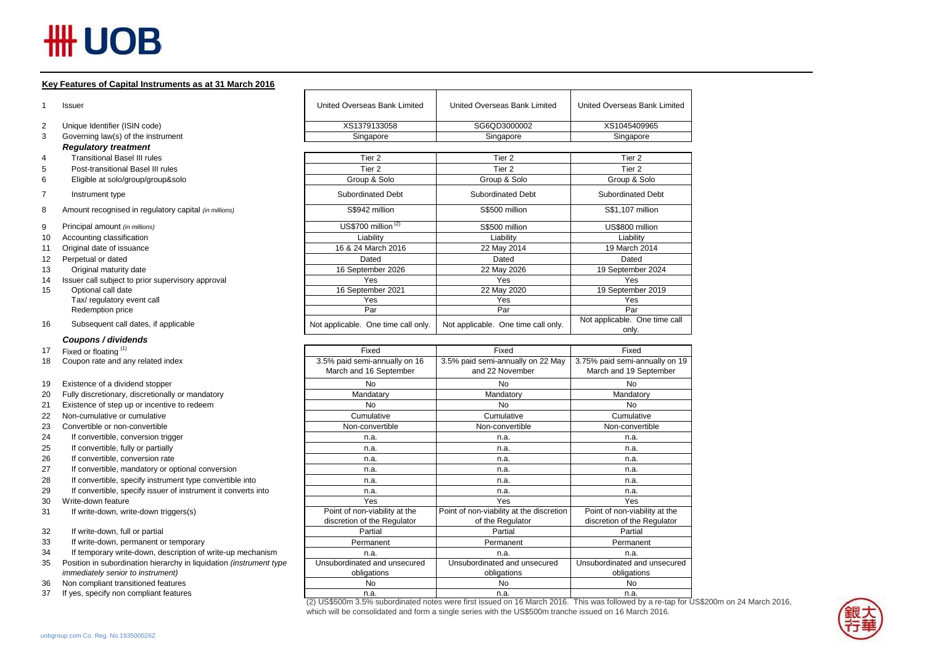# **HH UOB**

### **Key Features of Capital Instruments as at 31 March 2016**

| $\mathbf{1}$   | Issuer                                                               | United Overseas Bank Limited        | United Overseas Bank Limited                                                                                                          | United Overseas Bank Limited           |
|----------------|----------------------------------------------------------------------|-------------------------------------|---------------------------------------------------------------------------------------------------------------------------------------|----------------------------------------|
| 2              | Unique Identifier (ISIN code)                                        | XS1379133058                        | SG6QD3000002                                                                                                                          | XS1045409965                           |
| 3              | Governing law(s) of the instrument                                   | Singapore                           | Singapore                                                                                                                             | Singapore                              |
|                | <b>Regulatory treatment</b>                                          |                                     |                                                                                                                                       |                                        |
| 4              | <b>Transitional Basel III rules</b>                                  | Tier <sub>2</sub>                   | Tier <sub>2</sub>                                                                                                                     | Tier <sub>2</sub>                      |
| 5              | Post-transitional Basel III rules                                    | Tier <sub>2</sub>                   | Tier <sub>2</sub>                                                                                                                     | Tier <sub>2</sub>                      |
| 6              | Eligible at solo/group/group&solo                                    | Group & Solo                        | Group & Solo                                                                                                                          | Group & Solo                           |
| $\overline{7}$ | Instrument type                                                      | <b>Subordinated Debt</b>            | <b>Subordinated Debt</b>                                                                                                              | <b>Subordinated Debt</b>               |
| 8              | Amount recognised in regulatory capital (in millions)                | S\$942 million                      | S\$500 million                                                                                                                        | S\$1.107 million                       |
| 9              | Principal amount (in millions)                                       | US\$700 million <sup>(2)</sup>      | S\$500 million                                                                                                                        | US\$800 million                        |
| 10             | Accounting classification                                            | Liability                           | Liability                                                                                                                             | Liability                              |
| 11             | Original date of issuance                                            | 16 & 24 March 2016                  | 22 May 2014                                                                                                                           | 19 March 2014                          |
| 12             | Perpetual or dated                                                   | Dated                               | Dated                                                                                                                                 | Dated                                  |
| 13             | Original maturity date                                               | 16 September 2026                   | 22 May 2026                                                                                                                           | 19 September 2024                      |
| 14             | Issuer call subject to prior supervisory approval                    | Yes                                 | Yes                                                                                                                                   | Yes                                    |
| 15             | Optional call date                                                   | 16 September 2021                   | 22 May 2020                                                                                                                           | 19 September 2019                      |
|                | Tax/ regulatory event call                                           | Yes                                 | Yes                                                                                                                                   | Yes                                    |
|                | Redemption price                                                     | Par                                 | Par                                                                                                                                   | Par                                    |
| 16             | Subsequent call dates, if applicable                                 | Not applicable. One time call only. | Not applicable. One time call only.                                                                                                   | Not applicable. One time call<br>only. |
|                | Coupons / dividends                                                  |                                     |                                                                                                                                       |                                        |
| 17             | Fixed or floating (1)                                                | Fixed                               | Fixed                                                                                                                                 | Fixed                                  |
| 18             | Coupon rate and any related index                                    | 3.5% paid semi-annually on 16       | 3.5% paid semi-annually on 22 May                                                                                                     | 3.75% paid semi-annually on 19         |
|                |                                                                      | March and 16 September              | and 22 November                                                                                                                       | March and 19 September                 |
| 19             | Existence of a dividend stopper                                      | <b>No</b>                           | <b>No</b>                                                                                                                             | <b>No</b>                              |
| 20             | Fully discretionary, discretionally or mandatory                     | Mandatary                           | Mandatory                                                                                                                             | Mandatory                              |
| 21             | Existence of step up or incentive to redeem                          | <b>No</b>                           | <b>No</b>                                                                                                                             | No                                     |
| 22             | Non-cumulative or cumulative                                         | Cumulative                          | Cumulative                                                                                                                            | Cumulative                             |
| 23             | Convertible or non-convertible                                       | Non-convertible                     | Non-convertible                                                                                                                       | Non-convertible                        |
| 24             | If convertible, conversion trigger                                   | n.a.                                | n.a.                                                                                                                                  | n.a.                                   |
| 25             | If convertible, fully or partially                                   | n.a.                                | n.a.                                                                                                                                  | n.a.                                   |
| 26             | If convertible, conversion rate                                      | n.a.                                | n.a.                                                                                                                                  | n.a.                                   |
| 27             | If convertible, mandatory or optional conversion                     | n.a.                                | n.a.                                                                                                                                  | n.a.                                   |
| 28             | If convertible, specify instrument type convertible into             | n.a.                                | n.a.                                                                                                                                  | n.a.                                   |
| 29             | If convertible, specify issuer of instrument it converts into        | n.a.                                | n.a.                                                                                                                                  | n.a.                                   |
| 30             | Write-down feature                                                   | Yes                                 | Yes                                                                                                                                   | Yes                                    |
| 31             | If write-down, write-down triggers(s)                                | Point of non-viability at the       | Point of non-viability at the discretion                                                                                              | Point of non-viability at the          |
|                |                                                                      | discretion of the Regulator         | of the Regulator                                                                                                                      | discretion of the Regulator            |
| 32             | If write-down, full or partial                                       | Partial                             | Partial                                                                                                                               | Partial                                |
| 33             | If write-down, permanent or temporary                                | Permanent                           | Permanent                                                                                                                             | Permanent                              |
| 34             | If temporary write-down, description of write-up mechanism           | n.a.                                | n.a.                                                                                                                                  | n.a.                                   |
| 35             | Position in subordination hierarchy in liquidation (instrument type) | Unsubordinated and unsecured        | Unsubordinated and unsecured                                                                                                          | Unsubordinated and unsecured           |
|                | <i>immediately senior to instrument)</i>                             | obligations                         | obligations                                                                                                                           | obligations                            |
| 36             | Non compliant transitioned features                                  | <b>No</b>                           | <b>No</b>                                                                                                                             | <b>No</b>                              |
| 37             | If yes, specify non compliant features                               | n.a.                                | n.a.                                                                                                                                  | n.a.                                   |
|                |                                                                      |                                     | (2) US\$500m 3.5% subordinated notes were first issued on 16 March 2016. This was followed by a re-tap for US\$200m on 24 March 2016. |                                        |

which will be consolidated and form a single series with the US\$500m tranche issued on 16 March 2016.